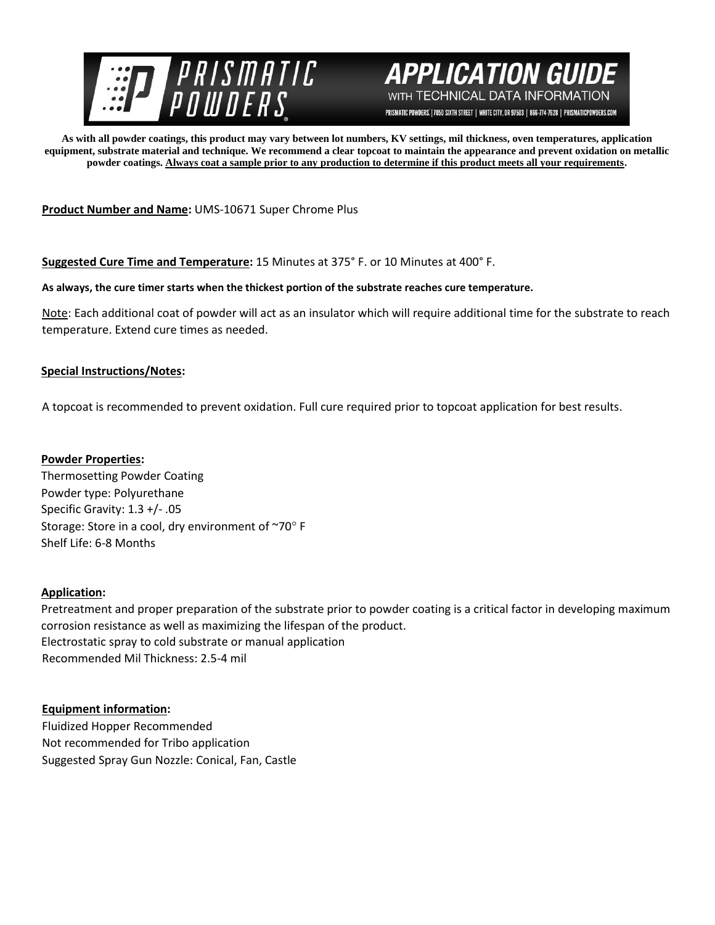



PRISMATIC POWDERS. | 7050 SIXTH STREET | WHITE CITY, OR 97503 | 866-774-7628 | PRISMATICPOWDERS.COM

**As with all powder coatings, this product may vary between lot numbers, KV settings, mil thickness, oven temperatures, application equipment, substrate material and technique. We recommend a clear topcoat to maintain the appearance and prevent oxidation on metallic powder coatings. Always coat a sample prior to any production to determine if this product meets all your requirements.** 

**Product Number and Name:** UMS-10671 Super Chrome Plus

**Suggested Cure Time and Temperature:** 15 Minutes at 375° F. or 10 Minutes at 400° F.

## **As always, the cure timer starts when the thickest portion of the substrate reaches cure temperature.**

Note: Each additional coat of powder will act as an insulator which will require additional time for the substrate to reach temperature. Extend cure times as needed.

## **Special Instructions/Notes:**

A topcoat is recommended to prevent oxidation. Full cure required prior to topcoat application for best results.

## **Powder Properties:**

Thermosetting Powder Coating Powder type: Polyurethane Specific Gravity: 1.3 +/- .05 Storage: Store in a cool, dry environment of  $\sim$ 70 $\circ$  F Shelf Life: 6-8 Months

## **Application:**

Pretreatment and proper preparation of the substrate prior to powder coating is a critical factor in developing maximum corrosion resistance as well as maximizing the lifespan of the product. Electrostatic spray to cold substrate or manual application Recommended Mil Thickness: 2.5-4 mil

# **Equipment information:**

Fluidized Hopper Recommended Not recommended for Tribo application Suggested Spray Gun Nozzle: Conical, Fan, Castle